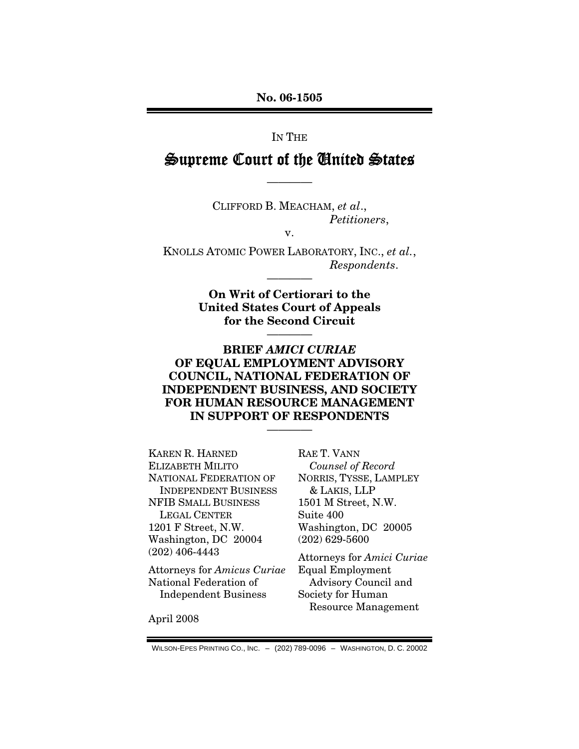**No. 06-1505** 

IN THE

### Supreme Court of the United States

————

CLIFFORD B. MEACHAM, *et al*., *Petitioners*,

v.

KNOLLS ATOMIC POWER LABORATORY, INC., *et al.*, *Respondents*.

————

**On Writ of Certiorari to the United States Court of Appeals for the Second Circuit** 

————

### **BRIEF** *AMICI CURIAE* **OF EQUAL EMPLOYMENT ADVISORY COUNCIL, NATIONAL FEDERATION OF INDEPENDENT BUSINESS, AND SOCIETY FOR HUMAN RESOURCE MANAGEMENT IN SUPPORT OF RESPONDENTS**

————

KAREN R. HARNED ELIZABETH MILITO NATIONAL FEDERATION OF INDEPENDENT BUSINESS NFIB SMALL BUSINESS LEGAL CENTER 1201 F Street, N.W. Washington, DC 20004 (202) 406-4443

Attorneys for *Amicus Curiae* National Federation of Independent Business

RAE T. VANN *Counsel of Record*  NORRIS, TYSSE, LAMPLEY & LAKIS, LLP 1501 M Street, N.W. Suite 400 Washington, DC 20005 (202) 629-5600

Attorneys for *Amici Curiae* Equal Employment Advisory Council and Society for Human Resource Management

April 2008

WILSON-EPES PRINTING CO., INC. – (202) 789-0096 – WASHINGTON, D. C. 20002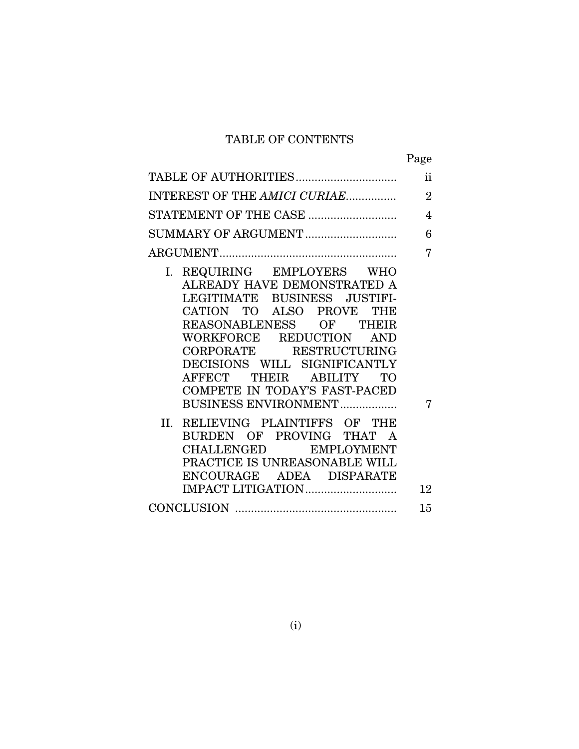# TABLE OF CONTENTS

|  | Page |
|--|------|
|--|------|

| TABLE OF AUTHORITIES                                                                                                                                                                                                                                                                                                                                                                                                                                                                                                 | $\ddot{\textbf{i}}$ |
|----------------------------------------------------------------------------------------------------------------------------------------------------------------------------------------------------------------------------------------------------------------------------------------------------------------------------------------------------------------------------------------------------------------------------------------------------------------------------------------------------------------------|---------------------|
| INTEREST OF THE AMICI CURIAE                                                                                                                                                                                                                                                                                                                                                                                                                                                                                         | $\overline{2}$      |
| STATEMENT OF THE CASE                                                                                                                                                                                                                                                                                                                                                                                                                                                                                                | $\overline{4}$      |
| SUMMARY OF ARGUMENT                                                                                                                                                                                                                                                                                                                                                                                                                                                                                                  | 6                   |
|                                                                                                                                                                                                                                                                                                                                                                                                                                                                                                                      | 7                   |
| REQUIRING EMPLOYERS WHO<br>Ι.<br>ALREADY HAVE DEMONSTRATED A<br>LEGITIMATE BUSINESS JUSTIFI-<br>CATION TO ALSO PROVE THE<br>REASONABLENESS OF THEIR<br>WORKFORCE REDUCTION<br><b>AND</b><br>CORPORATE RESTRUCTURING<br>DECISIONS WILL SIGNIFICANTLY<br>AFFECT THEIR ABILITY TO<br>COMPETE IN TODAY'S FAST-PACED<br>BUSINESS ENVIRONMENT<br>II.<br>RELIEVING PLAINTIFFS OF THE<br>BURDEN OF PROVING THAT A<br>CHALLENGED EMPLOYMENT<br>PRACTICE IS UNREASONABLE WILL<br>ENCOURAGE ADEA DISPARATE<br>IMPACT LITIGATION | 7<br>12             |
|                                                                                                                                                                                                                                                                                                                                                                                                                                                                                                                      | 15                  |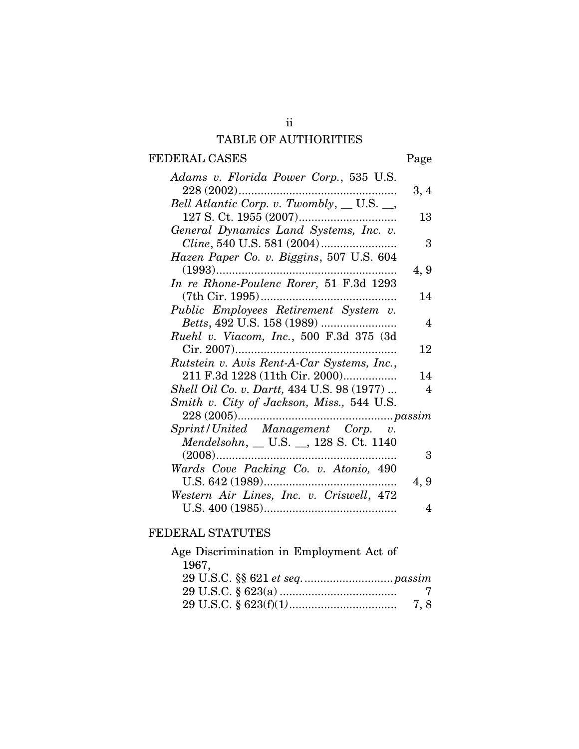# TABLE OF AUTHORITIES

# FEDERAL CASES Page

| Adams v. Florida Power Corp., 535 U.S.      |      |
|---------------------------------------------|------|
|                                             | 3, 4 |
| Bell Atlantic Corp. v. Twombly, __ U.S. __, |      |
|                                             | 13   |
| General Dynamics Land Systems, Inc. v.      |      |
| Cline, 540 U.S. 581 (2004)                  | 3    |
| Hazen Paper Co. v. Biggins, 507 U.S. 604    |      |
|                                             | 4, 9 |
| In re Rhone-Poulenc Rorer, 51 F.3d 1293     |      |
|                                             | 14   |
| Public Employees Retirement System v.       |      |
|                                             | 4    |
| Ruehl v. Viacom, Inc., 500 F.3d 375 (3d     |      |
|                                             | 12   |
| Rutstein v. Avis Rent-A-Car Systems, Inc.,  |      |
| 211 F.3d 1228 (11th Cir. 2000)              | 14   |
| Shell Oil Co. v. Dartt, 434 U.S. 98 (1977)  | 4    |
| Smith v. City of Jackson, Miss., 544 U.S.   |      |
|                                             |      |
| Sprint/United Management Corp. v.           |      |
| Mendelsohn, _ U.S. _, 128 S. Ct. 1140       |      |
|                                             | 3    |
| Wards Cove Packing Co. v. Atonio, 490       |      |
|                                             | 4, 9 |
| Western Air Lines, Inc. v. Criswell, 472    |      |
|                                             | 4    |

### FEDERAL STATUTES

| Age Discrimination in Employment Act of |  |
|-----------------------------------------|--|
| 1967,                                   |  |
|                                         |  |
|                                         |  |
|                                         |  |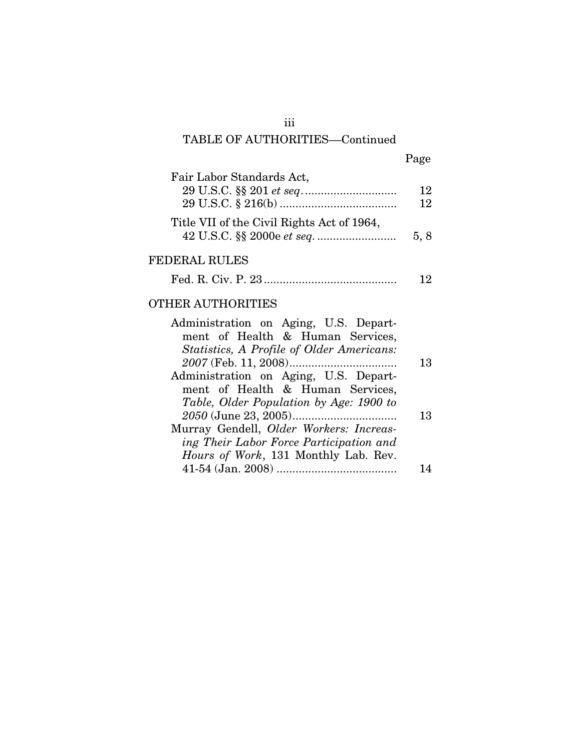# iii TABLE OF AUTHORITIES––Continued

| ۰, |
|----|
|----|

| Fair Labor Standards Act,                                                                                                                    | 12<br>12 |
|----------------------------------------------------------------------------------------------------------------------------------------------|----------|
| Title VII of the Civil Rights Act of 1964,                                                                                                   | 5, 8     |
| FEDERAL RULES                                                                                                                                |          |
|                                                                                                                                              | 12       |
| OTHER AUTHORITIES                                                                                                                            |          |
| Administration on Aging, U.S. Depart-<br>ment of Health & Human Services,<br>Statistics, A Profile of Older Americans:                       |          |
| 2007 (Feb. 11, 2008)<br>Administration on Aging, U.S. Depart-<br>ment of Health & Human Services,<br>Table, Older Population by Age: 1900 to | 13       |
| Murray Gendell, Older Workers: Increas-<br>ing Their Labor Force Participation and<br><i>Hours of Work</i> , 131 Monthly Lab. Rev.           | 13       |
|                                                                                                                                              | 14       |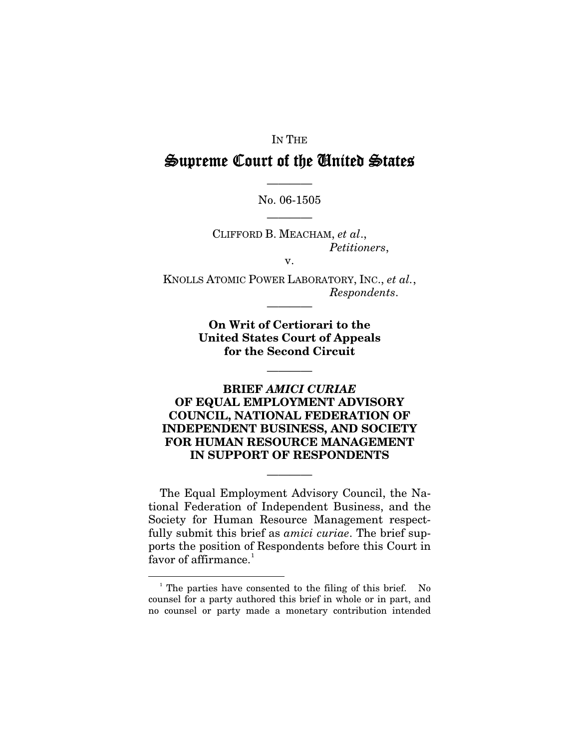### IN THE

# Supreme Court of the United States

### ———— No. 06-1505 ————

CLIFFORD B. MEACHAM, *et al*., *Petitioners*,

v.

KNOLLS ATOMIC POWER LABORATORY, INC., *et al.*, *Respondents*.

————

**On Writ of Certiorari to the United States Court of Appeals for the Second Circuit** 

————

### **BRIEF** *AMICI CURIAE* **OF EQUAL EMPLOYMENT ADVISORY COUNCIL, NATIONAL FEDERATION OF INDEPENDENT BUSINESS, AND SOCIETY FOR HUMAN RESOURCE MANAGEMENT IN SUPPORT OF RESPONDENTS**

The Equal Employment Advisory Council, the National Federation of Independent Business, and the Society for Human Resource Management respectfully submit this brief as *amici curiae*. The brief supports the position of Respondents before this Court in favor of affirmance. $1$ 

————

 $\overline{\phantom{0}}$ 

<span id="page-4-0"></span><sup>&</sup>lt;sup>1</sup> The parties have consented to the filing of this brief. No counsel for a party authored this brief in whole or in part, and no counsel or party made a monetary contribution intended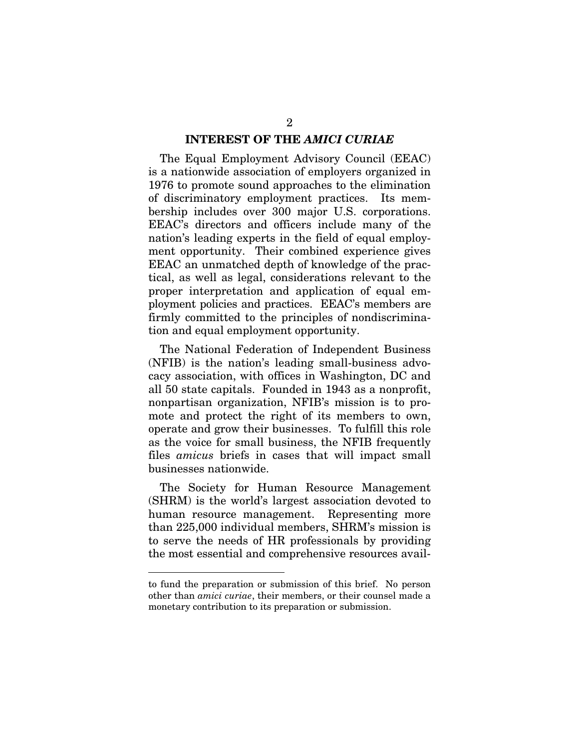#### **INTEREST OF THE** *AMICI CURIAE*

The Equal Employment Advisory Council (EEAC) is a nationwide association of employers organized in 1976 to promote sound approaches to the elimination of discriminatory employment practices. Its membership includes over 300 major U.S. corporations. EEAC's directors and officers include many of the nation's leading experts in the field of equal employment opportunity. Their combined experience gives EEAC an unmatched depth of knowledge of the practical, as well as legal, considerations relevant to the proper interpretation and application of equal employment policies and practices. EEAC's members are firmly committed to the principles of nondiscrimination and equal employment opportunity.

The National Federation of Independent Business (NFIB) is the nation's leading small-business advocacy association, with offices in Washington, DC and all 50 state capitals. Founded in 1943 as a nonprofit, nonpartisan organization, NFIB's mission is to promote and protect the right of its members to own, operate and grow their businesses. To fulfill this role as the voice for small business, the NFIB frequently files *amicus* briefs in cases that will impact small businesses nationwide.

The Society for Human Resource Management (SHRM) is the world's largest association devoted to human resource management. Representing more than 225,000 individual members, SHRM's mission is to serve the needs of HR professionals by providing the most essential and comprehensive resources avail-

 $\overline{\phantom{0}}$ 

to fund the preparation or submission of this brief. No person other than *amici curiae*, their members, or their counsel made a monetary contribution to its preparation or submission.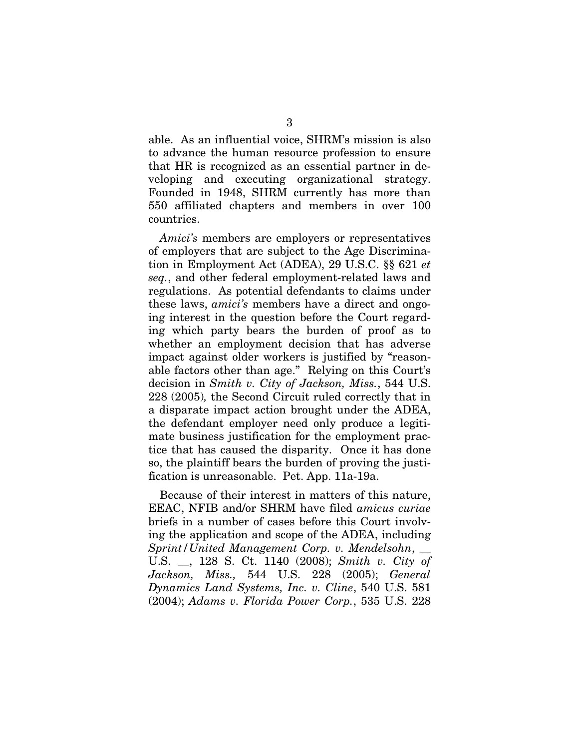able. As an influential voice, SHRM's mission is also to advance the human resource profession to ensure that HR is recognized as an essential partner in developing and executing organizational strategy. Founded in 1948, SHRM currently has more than 550 affiliated chapters and members in over 100 countries.

*Amici's* members are employers or representatives of employers that are subject to the Age Discrimination in Employment Act (ADEA), 29 U.S.C. §§ 621 *et seq.*, and other federal employment-related laws and regulations. As potential defendants to claims under these laws, *amici's* members have a direct and ongoing interest in the question before the Court regarding which party bears the burden of proof as to whether an employment decision that has adverse impact against older workers is justified by "reasonable factors other than age." Relying on this Court's decision in *Smith v. City of Jackson, Miss.*, 544 U.S. 228 (2005)*,* the Second Circuit ruled correctly that in a disparate impact action brought under the ADEA, the defendant employer need only produce a legitimate business justification for the employment practice that has caused the disparity. Once it has done so, the plaintiff bears the burden of proving the justification is unreasonable. Pet. App. 11a-19a.

Because of their interest in matters of this nature, EEAC, NFIB and/or SHRM have filed *amicus curiae*  briefs in a number of cases before this Court involving the application and scope of the ADEA, including *Sprint/United Management Corp. v. Mendelsohn*, \_\_ U.S. \_\_, 128 S. Ct. 1140 (2008); *Smith v. City of Jackson, Miss.,* 544 U.S. 228 (2005); *General Dynamics Land Systems, Inc. v. Cline*, 540 U.S. 581 (2004); *Adams v. Florida Power Corp.*, 535 U.S. 228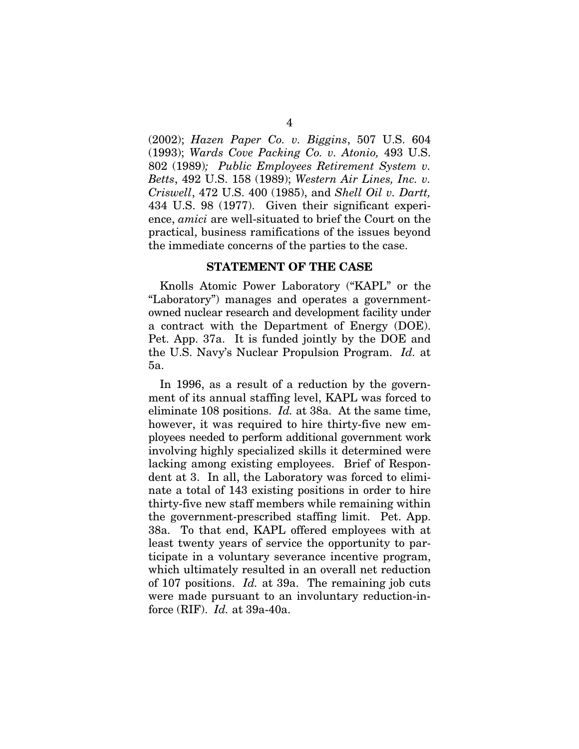(2002); *Hazen Paper Co. v. Biggins*, 507 U.S. 604 (1993); *Wards Cove Packing Co. v. Atonio,* 493 U.S. 802 (1989)*; Public Employees Retirement System v. Betts*, 492 U.S. 158 (1989); *Western Air Lines, Inc. v. Criswell*, 472 U.S. 400 (1985), and *Shell Oil v. Dartt,*  434 U.S. 98 (1977).Given their significant experience, *amici* are well-situated to brief the Court on the practical, business ramifications of the issues beyond the immediate concerns of the parties to the case.

#### **STATEMENT OF THE CASE**

Knolls Atomic Power Laboratory ("KAPL" or the "Laboratory") manages and operates a governmentowned nuclear research and development facility under a contract with the Department of Energy (DOE). Pet. App. 37a. It is funded jointly by the DOE and the U.S. Navy's Nuclear Propulsion Program. *Id.* at 5a.

In 1996, as a result of a reduction by the government of its annual staffing level, KAPL was forced to eliminate 108 positions. *Id.* at 38a. At the same time, however, it was required to hire thirty-five new employees needed to perform additional government work involving highly specialized skills it determined were lacking among existing employees. Brief of Respondent at 3. In all, the Laboratory was forced to eliminate a total of 143 existing positions in order to hire thirty-five new staff members while remaining within the government-prescribed staffing limit. Pet. App. 38a. To that end, KAPL offered employees with at least twenty years of service the opportunity to participate in a voluntary severance incentive program, which ultimately resulted in an overall net reduction of 107 positions. *Id.* at 39a. The remaining job cuts were made pursuant to an involuntary reduction-inforce (RIF). *Id.* at 39a-40a.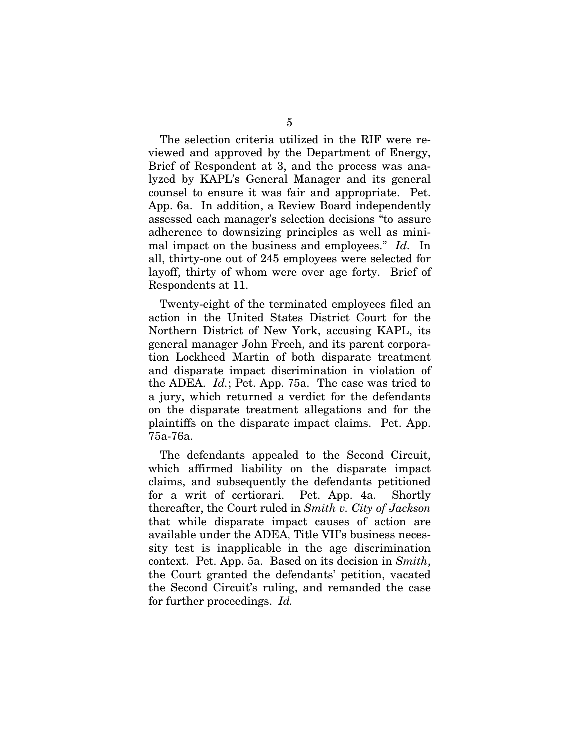The selection criteria utilized in the RIF were reviewed and approved by the Department of Energy, Brief of Respondent at 3, and the process was analyzed by KAPL's General Manager and its general counsel to ensure it was fair and appropriate. Pet. App. 6a. In addition, a Review Board independently assessed each manager's selection decisions "to assure adherence to downsizing principles as well as minimal impact on the business and employees." *Id.* In all, thirty-one out of 245 employees were selected for layoff, thirty of whom were over age forty. Brief of Respondents at 11.

Twenty-eight of the terminated employees filed an action in the United States District Court for the Northern District of New York, accusing KAPL, its general manager John Freeh, and its parent corporation Lockheed Martin of both disparate treatment and disparate impact discrimination in violation of the ADEA. *Id.*; Pet. App. 75a. The case was tried to a jury, which returned a verdict for the defendants on the disparate treatment allegations and for the plaintiffs on the disparate impact claims. Pet. App. 75a-76a.

The defendants appealed to the Second Circuit, which affirmed liability on the disparate impact claims, and subsequently the defendants petitioned for a writ of certiorari. Pet. App. 4a. Shortly thereafter, the Court ruled in *Smith v. City of Jackson* that while disparate impact causes of action are available under the ADEA, Title VII's business necessity test is inapplicable in the age discrimination context. Pet. App. 5a. Based on its decision in *Smith*, the Court granted the defendants' petition, vacated the Second Circuit's ruling, and remanded the case for further proceedings. *Id.*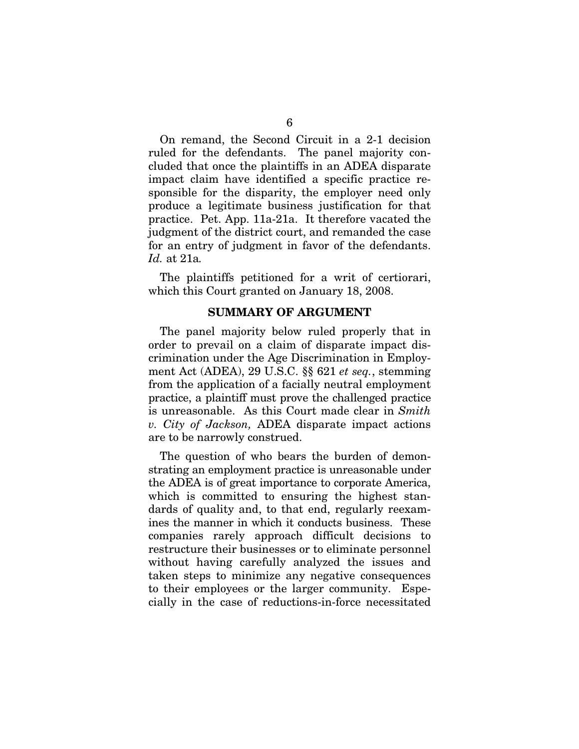On remand, the Second Circuit in a 2-1 decision ruled for the defendants. The panel majority concluded that once the plaintiffs in an ADEA disparate impact claim have identified a specific practice responsible for the disparity, the employer need only produce a legitimate business justification for that practice. Pet. App. 11a-21a. It therefore vacated the judgment of the district court, and remanded the case for an entry of judgment in favor of the defendants. *Id.* at 21a*.* 

The plaintiffs petitioned for a writ of certiorari, which this Court granted on January 18, 2008.

### **SUMMARY OF ARGUMENT**

The panel majority below ruled properly that in order to prevail on a claim of disparate impact discrimination under the Age Discrimination in Employment Act (ADEA), 29 U.S.C. §§ 621 *et seq.*, stemming from the application of a facially neutral employment practice, a plaintiff must prove the challenged practice is unreasonable. As this Court made clear in *Smith v. City of Jackson,* ADEA disparate impact actions are to be narrowly construed.

The question of who bears the burden of demonstrating an employment practice is unreasonable under the ADEA is of great importance to corporate America, which is committed to ensuring the highest standards of quality and, to that end, regularly reexamines the manner in which it conducts business. These companies rarely approach difficult decisions to restructure their businesses or to eliminate personnel without having carefully analyzed the issues and taken steps to minimize any negative consequences to their employees or the larger community. Especially in the case of reductions-in-force necessitated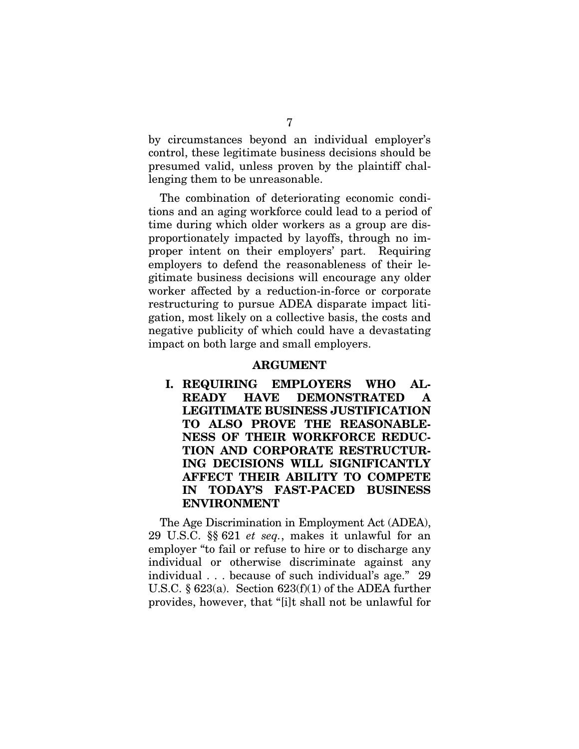by circumstances beyond an individual employer's control, these legitimate business decisions should be presumed valid, unless proven by the plaintiff challenging them to be unreasonable.

The combination of deteriorating economic conditions and an aging workforce could lead to a period of time during which older workers as a group are disproportionately impacted by layoffs, through no improper intent on their employers' part. Requiring employers to defend the reasonableness of their legitimate business decisions will encourage any older worker affected by a reduction-in-force or corporate restructuring to pursue ADEA disparate impact litigation, most likely on a collective basis, the costs and negative publicity of which could have a devastating impact on both large and small employers.

#### **ARGUMENT**

**I. REQUIRING EMPLOYERS WHO AL-READY HAVE DEMONSTRATED A LEGITIMATE BUSINESS JUSTIFICATION TO ALSO PROVE THE REASONABLE-NESS OF THEIR WORKFORCE REDUC-TION AND CORPORATE RESTRUCTUR-ING DECISIONS WILL SIGNIFICANTLY AFFECT THEIR ABILITY TO COMPETE IN TODAY'S FAST-PACED BUSINESS ENVIRONMENT** 

The Age Discrimination in Employment Act (ADEA), 29 U.S.C. §§ 621 *et seq.*, makes it unlawful for an employer "to fail or refuse to hire or to discharge any individual or otherwise discriminate against any individual . . . because of such individual's age." 29 U.S.C.  $\S 623(a)$ . Section  $623(f)(1)$  of the ADEA further provides, however, that "[i]t shall not be unlawful for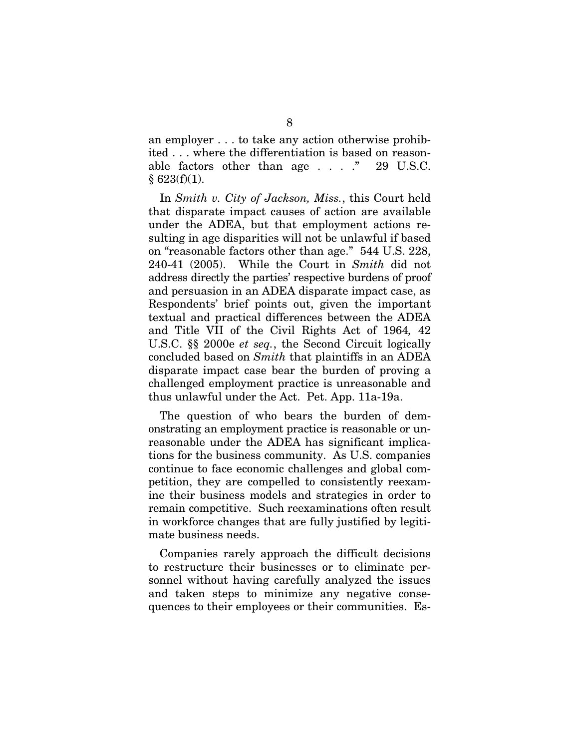an employer . . . to take any action otherwise prohibited . . . where the differentiation is based on reasonable factors other than age . . . . " 29 U.S.C.  $§$  623(f)(1).

In *Smith v. City of Jackson, Miss.*, this Court held that disparate impact causes of action are available under the ADEA, but that employment actions resulting in age disparities will not be unlawful if based on "reasonable factors other than age." 544 U.S. 228, 240-41 (2005). While the Court in *Smith* did not address directly the parties' respective burdens of proof and persuasion in an ADEA disparate impact case, as Respondents' brief points out, given the important textual and practical differences between the ADEA and Title VII of the Civil Rights Act of 1964*,* 42 U.S.C. §§ 2000e *et seq.*, the Second Circuit logically concluded based on *Smith* that plaintiffs in an ADEA disparate impact case bear the burden of proving a challenged employment practice is unreasonable and thus unlawful under the Act. Pet. App. 11a-19a.

The question of who bears the burden of demonstrating an employment practice is reasonable or unreasonable under the ADEA has significant implications for the business community. As U.S. companies continue to face economic challenges and global competition, they are compelled to consistently reexamine their business models and strategies in order to remain competitive. Such reexaminations often result in workforce changes that are fully justified by legitimate business needs.

Companies rarely approach the difficult decisions to restructure their businesses or to eliminate personnel without having carefully analyzed the issues and taken steps to minimize any negative consequences to their employees or their communities. Es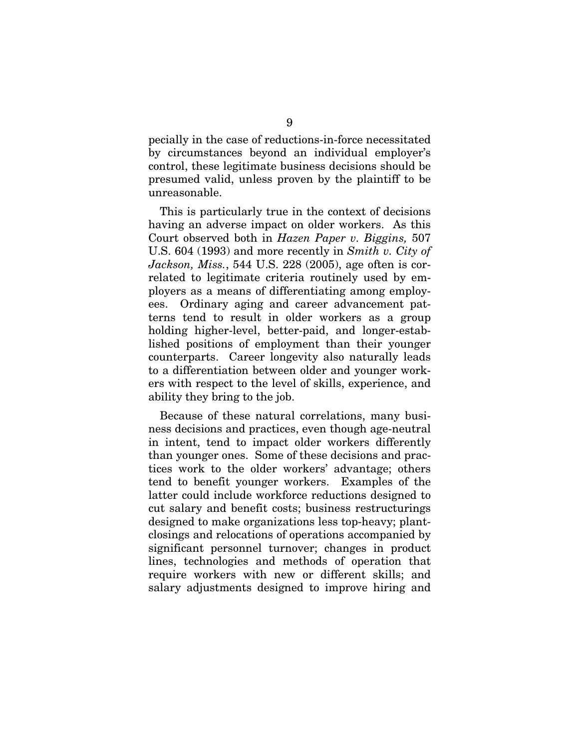pecially in the case of reductions-in-force necessitated by circumstances beyond an individual employer's control, these legitimate business decisions should be presumed valid, unless proven by the plaintiff to be unreasonable.

This is particularly true in the context of decisions having an adverse impact on older workers. As this Court observed both in *Hazen Paper v. Biggins,* 507 U.S. 604 (1993) and more recently in *Smith v. City of Jackson, Miss.*, 544 U.S. 228 (2005), age often is correlated to legitimate criteria routinely used by employers as a means of differentiating among employees. Ordinary aging and career advancement patterns tend to result in older workers as a group holding higher-level, better-paid, and longer-established positions of employment than their younger counterparts. Career longevity also naturally leads to a differentiation between older and younger workers with respect to the level of skills, experience, and ability they bring to the job.

Because of these natural correlations, many business decisions and practices, even though age-neutral in intent, tend to impact older workers differently than younger ones. Some of these decisions and practices work to the older workers' advantage; others tend to benefit younger workers. Examples of the latter could include workforce reductions designed to cut salary and benefit costs; business restructurings designed to make organizations less top-heavy; plantclosings and relocations of operations accompanied by significant personnel turnover; changes in product lines, technologies and methods of operation that require workers with new or different skills; and salary adjustments designed to improve hiring and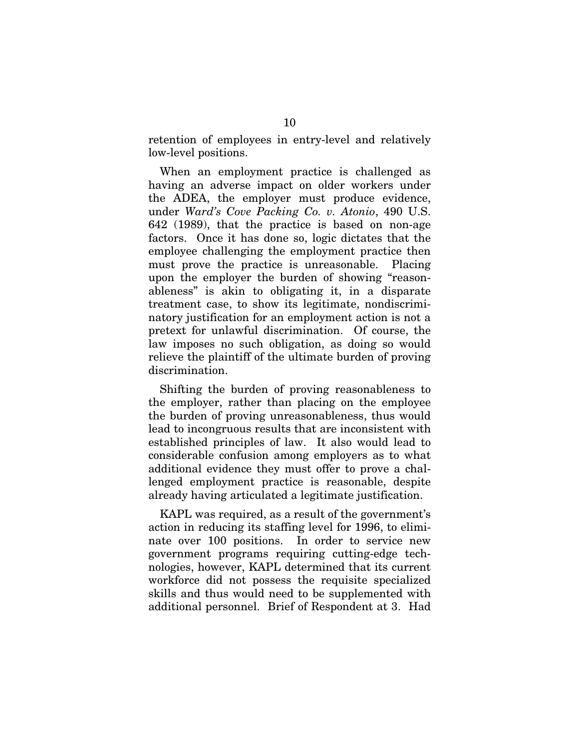retention of employees in entry-level and relatively low-level positions.

When an employment practice is challenged as having an adverse impact on older workers under the ADEA, the employer must produce evidence, under *Ward's Cove Packing Co. v. Atonio*, 490 U.S. 642 (1989), that the practice is based on non-age factors. Once it has done so, logic dictates that the employee challenging the employment practice then must prove the practice is unreasonable. Placing upon the employer the burden of showing "reasonableness" is akin to obligating it, in a disparate treatment case, to show its legitimate, nondiscriminatory justification for an employment action is not a pretext for unlawful discrimination. Of course, the law imposes no such obligation, as doing so would relieve the plaintiff of the ultimate burden of proving discrimination.

Shifting the burden of proving reasonableness to the employer, rather than placing on the employee the burden of proving unreasonableness, thus would lead to incongruous results that are inconsistent with established principles of law. It also would lead to considerable confusion among employers as to what additional evidence they must offer to prove a challenged employment practice is reasonable, despite already having articulated a legitimate justification.

KAPL was required, as a result of the government's action in reducing its staffing level for 1996, to eliminate over 100 positions. In order to service new government programs requiring cutting-edge technologies, however, KAPL determined that its current workforce did not possess the requisite specialized skills and thus would need to be supplemented with additional personnel. Brief of Respondent at 3. Had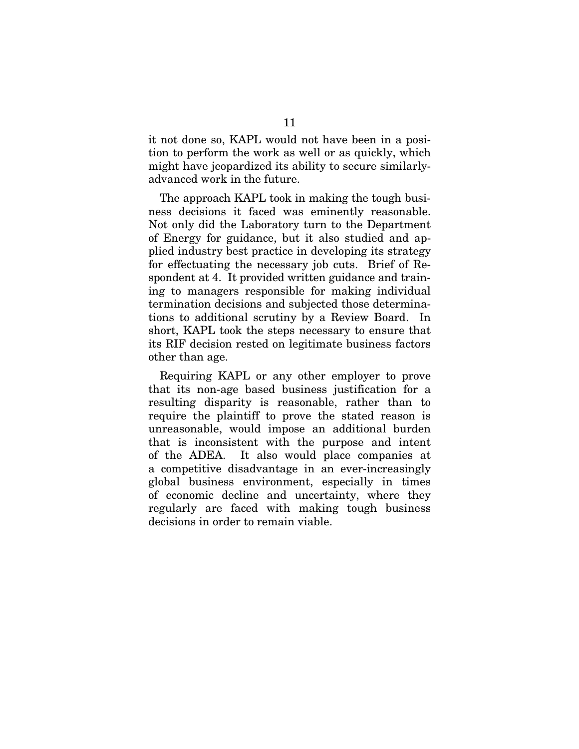it not done so, KAPL would not have been in a position to perform the work as well or as quickly, which might have jeopardized its ability to secure similarlyadvanced work in the future.

The approach KAPL took in making the tough business decisions it faced was eminently reasonable. Not only did the Laboratory turn to the Department of Energy for guidance, but it also studied and applied industry best practice in developing its strategy for effectuating the necessary job cuts. Brief of Respondent at 4. It provided written guidance and training to managers responsible for making individual termination decisions and subjected those determinations to additional scrutiny by a Review Board. In short, KAPL took the steps necessary to ensure that its RIF decision rested on legitimate business factors other than age.

Requiring KAPL or any other employer to prove that its non-age based business justification for a resulting disparity is reasonable, rather than to require the plaintiff to prove the stated reason is unreasonable, would impose an additional burden that is inconsistent with the purpose and intent of the ADEA. It also would place companies at a competitive disadvantage in an ever-increasingly global business environment, especially in times of economic decline and uncertainty, where they regularly are faced with making tough business decisions in order to remain viable.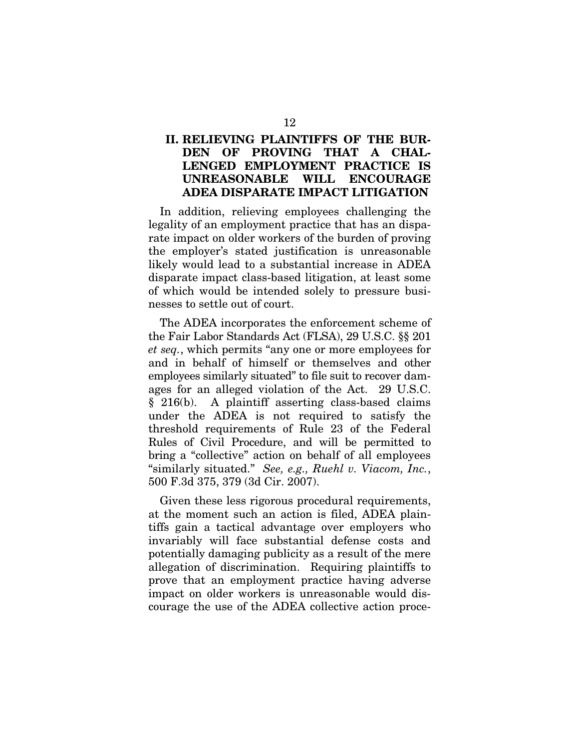### **II. RELIEVING PLAINTIFFS OF THE BUR-DEN OF PROVING THAT A CHAL-LENGED EMPLOYMENT PRACTICE IS UNREASONABLE WILL ENCOURAGE ADEA DISPARATE IMPACT LITIGATION**

In addition, relieving employees challenging the legality of an employment practice that has an disparate impact on older workers of the burden of proving the employer's stated justification is unreasonable likely would lead to a substantial increase in ADEA disparate impact class-based litigation, at least some of which would be intended solely to pressure businesses to settle out of court.

The ADEA incorporates the enforcement scheme of the Fair Labor Standards Act (FLSA), 29 U.S.C. §§ 201 *et seq.*, which permits "any one or more employees for and in behalf of himself or themselves and other employees similarly situated" to file suit to recover damages for an alleged violation of the Act. 29 U.S.C. § 216(b). A plaintiff asserting class-based claims under the ADEA is not required to satisfy the threshold requirements of Rule 23 of the Federal Rules of Civil Procedure, and will be permitted to bring a "collective" action on behalf of all employees "similarly situated." *See, e.g., Ruehl v. Viacom, Inc.*, 500 F.3d 375, 379 (3d Cir. 2007).

Given these less rigorous procedural requirements, at the moment such an action is filed, ADEA plaintiffs gain a tactical advantage over employers who invariably will face substantial defense costs and potentially damaging publicity as a result of the mere allegation of discrimination. Requiring plaintiffs to prove that an employment practice having adverse impact on older workers is unreasonable would discourage the use of the ADEA collective action proce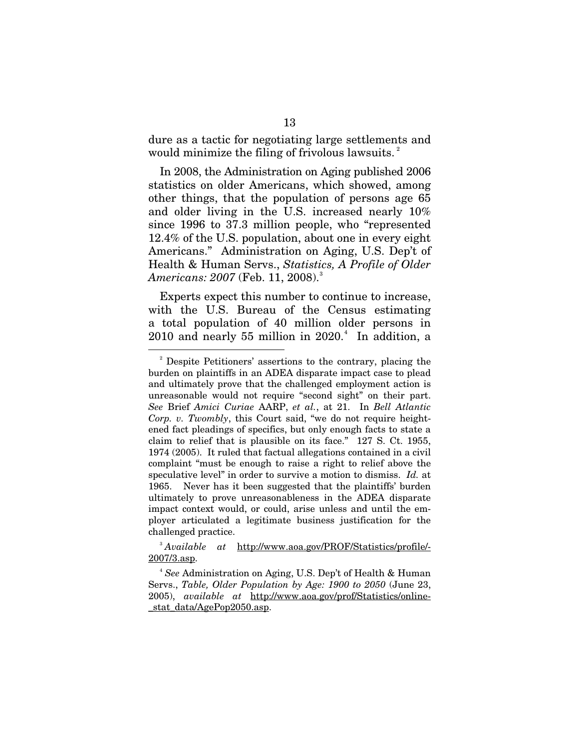dure as a tactic for negotiating large settlements and would minimize the filing of frivolous lawsuits. $^{2}$  $^{2}$  $^{2}$ 

In 2008, the Administration on Aging published 2006 statistics on older Americans, which showed, among other things, that the population of persons age 65 and older living in the U.S. increased nearly 10% since 1996 to 37.3 million people, who "represented 12.4% of the U.S. population, about one in every eight Americans." Administration on Aging, U.S. Dep't of Health & Human Servs., *Statistics, A Profile of Older Americans: 2007 (Feb. 11, 2008).* $^3$  $^3$ 

Experts expect this number to continue to increase, with the U.S. Bureau of the Census estimating a total population of 40 million older persons in  $2010$  and nearly 55 million in  $2020.^4$  $2020.^4$  In addition, a

 $\overline{\phantom{0}}$ 

<span id="page-16-0"></span><sup>2</sup> Despite Petitioners' assertions to the contrary, placing the burden on plaintiffs in an ADEA disparate impact case to plead and ultimately prove that the challenged employment action is unreasonable would not require "second sight" on their part. *See* Brief *Amici Curiae* AARP, *et al.*, at 21. In *Bell Atlantic Corp. v. Twombly*, this Court said, "we do not require heightened fact pleadings of specifics, but only enough facts to state a claim to relief that is plausible on its face." 127 S. Ct. 1955, 1974 (2005). It ruled that factual allegations contained in a civil complaint "must be enough to raise a right to relief above the speculative level" in order to survive a motion to dismiss. *Id.* at 1965. Never has it been suggested that the plaintiffs' burden ultimately to prove unreasonableness in the ADEA disparate impact context would, or could, arise unless and until the employer articulated a legitimate business justification for the challenged practice.

<span id="page-16-1"></span><sup>3</sup> *Available at* http://www.aoa.gov/PROF/Statistics/profile/- 2007/3.asp.

<span id="page-16-2"></span><sup>4</sup> *See* Administration on Aging, U.S. Dep't of Health & Human Servs., *Table, Older Population by Age: 1900 to 2050* (June 23, 2005), *available at* http://www.aoa.gov/prof/Statistics/online stat data/AgePop2050.asp.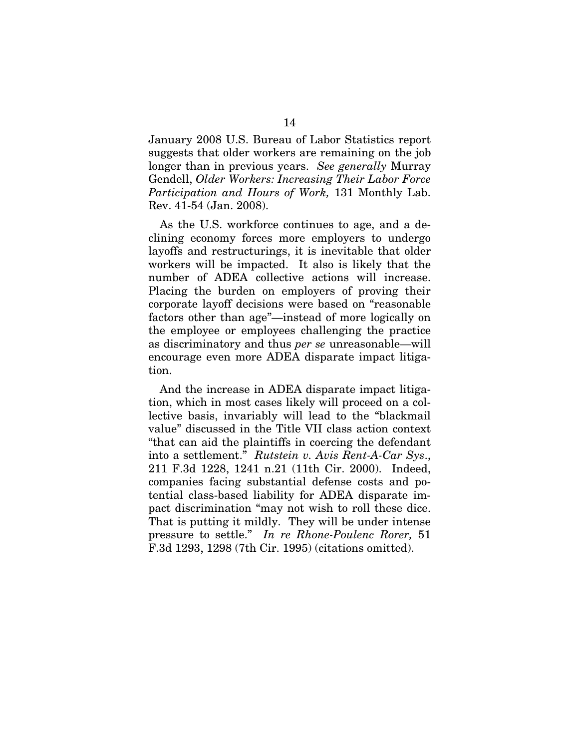January 2008 U.S. Bureau of Labor Statistics report suggests that older workers are remaining on the job longer than in previous years. *See generally* Murray Gendell, *Older Workers: Increasing Their Labor Force Participation and Hours of Work,* 131 Monthly Lab. Rev. 41-54 (Jan. 2008).

As the U.S. workforce continues to age, and a declining economy forces more employers to undergo layoffs and restructurings, it is inevitable that older workers will be impacted. It also is likely that the number of ADEA collective actions will increase. Placing the burden on employers of proving their corporate layoff decisions were based on "reasonable factors other than age"—instead of more logically on the employee or employees challenging the practice as discriminatory and thus *per se* unreasonable—will encourage even more ADEA disparate impact litigation.

And the increase in ADEA disparate impact litigation, which in most cases likely will proceed on a collective basis, invariably will lead to the "blackmail value" discussed in the Title VII class action context "that can aid the plaintiffs in coercing the defendant into a settlement." *Rutstein v. Avis Rent-A-Car Sys*., 211 F.3d 1228, 1241 n.21 (11th Cir. 2000). Indeed, companies facing substantial defense costs and potential class-based liability for ADEA disparate impact discrimination "may not wish to roll these dice. That is putting it mildly. They will be under intense pressure to settle." *In re Rhone-Poulenc Rorer,* 51 F.3d 1293, 1298 (7th Cir. 1995) (citations omitted).